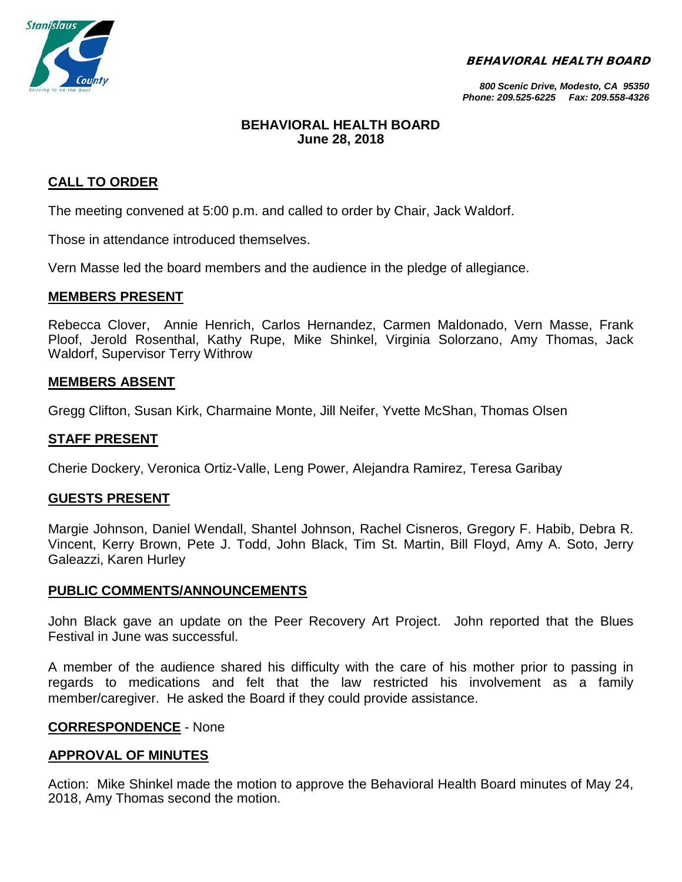BEHAVIORAL HEALTH BOARD



*800 Scenic Drive, Modesto, CA 95350 Phone: 209.525-6225 Fax: 209.558-4326*

## **BEHAVIORAL HEALTH BOARD June 28, 2018**

# **CALL TO ORDER**

The meeting convened at 5:00 p.m. and called to order by Chair, Jack Waldorf.

Those in attendance introduced themselves.

Vern Masse led the board members and the audience in the pledge of allegiance.

## **MEMBERS PRESENT**

Rebecca Clover, Annie Henrich, Carlos Hernandez, Carmen Maldonado, Vern Masse, Frank Ploof, Jerold Rosenthal, Kathy Rupe, Mike Shinkel, Virginia Solorzano, Amy Thomas, Jack Waldorf, Supervisor Terry Withrow

## **MEMBERS ABSENT**

Gregg Clifton, Susan Kirk, Charmaine Monte, Jill Neifer, Yvette McShan, Thomas Olsen

## **STAFF PRESENT**

Cherie Dockery, Veronica Ortiz-Valle, Leng Power, Alejandra Ramirez, Teresa Garibay

## **GUESTS PRESENT**

Margie Johnson, Daniel Wendall, Shantel Johnson, Rachel Cisneros, Gregory F. Habib, Debra R. Vincent, Kerry Brown, Pete J. Todd, John Black, Tim St. Martin, Bill Floyd, Amy A. Soto, Jerry Galeazzi, Karen Hurley

## **PUBLIC COMMENTS/ANNOUNCEMENTS**

John Black gave an update on the Peer Recovery Art Project. John reported that the Blues Festival in June was successful.

A member of the audience shared his difficulty with the care of his mother prior to passing in regards to medications and felt that the law restricted his involvement as a family member/caregiver. He asked the Board if they could provide assistance.

## **CORRESPONDENCE** - None

## **APPROVAL OF MINUTES**

Action: Mike Shinkel made the motion to approve the Behavioral Health Board minutes of May 24, 2018, Amy Thomas second the motion.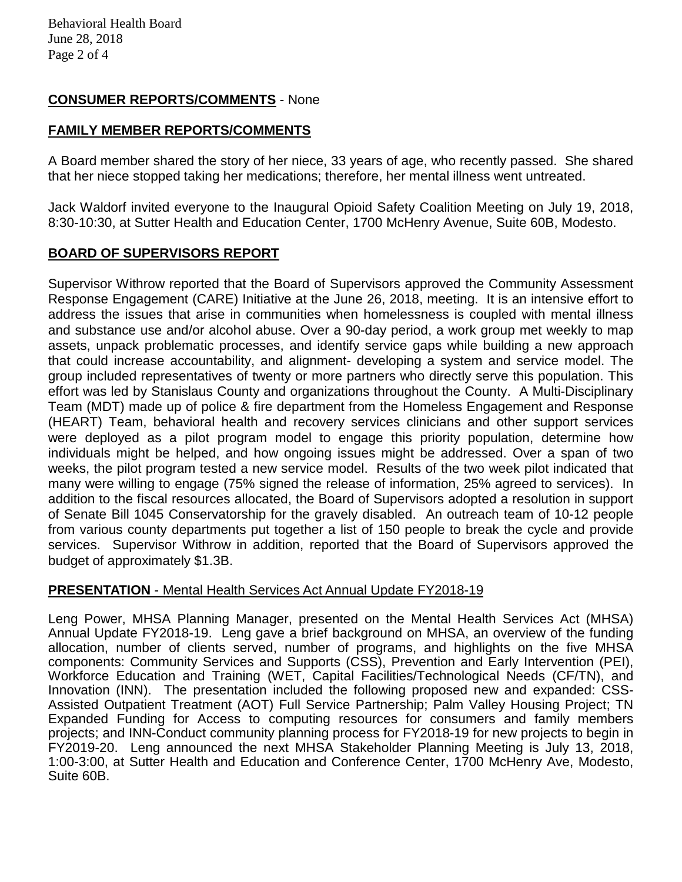# **CONSUMER REPORTS/COMMENTS** - None

# **FAMILY MEMBER REPORTS/COMMENTS**

A Board member shared the story of her niece, 33 years of age, who recently passed. She shared that her niece stopped taking her medications; therefore, her mental illness went untreated.

Jack Waldorf invited everyone to the Inaugural Opioid Safety Coalition Meeting on July 19, 2018, 8:30-10:30, at Sutter Health and Education Center, 1700 McHenry Avenue, Suite 60B, Modesto.

# **BOARD OF SUPERVISORS REPORT**

Supervisor Withrow reported that the Board of Supervisors approved the Community Assessment Response Engagement (CARE) Initiative at the June 26, 2018, meeting. It is an intensive effort to address the issues that arise in communities when homelessness is coupled with mental illness and substance use and/or alcohol abuse. Over a 90-day period, a work group met weekly to map assets, unpack problematic processes, and identify service gaps while building a new approach that could increase accountability, and alignment- developing a system and service model. The group included representatives of twenty or more partners who directly serve this population. This effort was led by Stanislaus County and organizations throughout the County. A Multi-Disciplinary Team (MDT) made up of police & fire department from the Homeless Engagement and Response (HEART) Team, behavioral health and recovery services clinicians and other support services were deployed as a pilot program model to engage this priority population, determine how individuals might be helped, and how ongoing issues might be addressed. Over a span of two weeks, the pilot program tested a new service model. Results of the two week pilot indicated that many were willing to engage (75% signed the release of information, 25% agreed to services). In addition to the fiscal resources allocated, the Board of Supervisors adopted a resolution in support of Senate Bill 1045 Conservatorship for the gravely disabled. An outreach team of 10-12 people from various county departments put together a list of 150 people to break the cycle and provide services. Supervisor Withrow in addition, reported that the Board of Supervisors approved the budget of approximately \$1.3B.

# **PRESENTATION** - Mental Health Services Act Annual Update FY2018-19

Leng Power, MHSA Planning Manager, presented on the Mental Health Services Act (MHSA) Annual Update FY2018-19. Leng gave a brief background on MHSA, an overview of the funding allocation, number of clients served, number of programs, and highlights on the five MHSA components: Community Services and Supports (CSS), Prevention and Early Intervention (PEI), Workforce Education and Training (WET, Capital Facilities/Technological Needs (CF/TN), and Innovation (INN). The presentation included the following proposed new and expanded: CSS-Assisted Outpatient Treatment (AOT) Full Service Partnership; Palm Valley Housing Project; TN Expanded Funding for Access to computing resources for consumers and family members projects; and INN-Conduct community planning process for FY2018-19 for new projects to begin in FY2019-20. Leng announced the next MHSA Stakeholder Planning Meeting is July 13, 2018, 1:00-3:00, at Sutter Health and Education and Conference Center, 1700 McHenry Ave, Modesto, Suite 60B.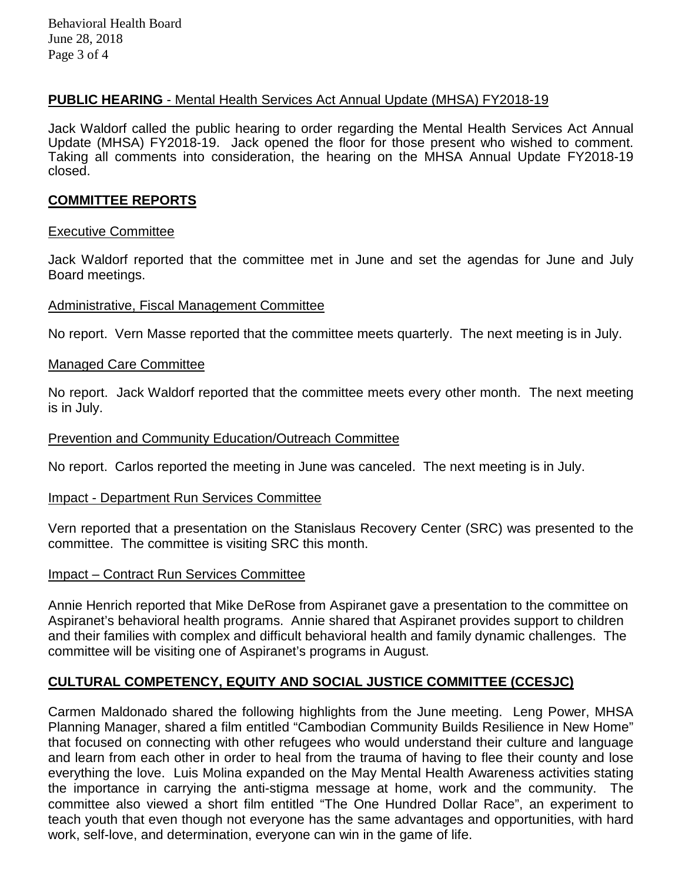Behavioral Health Board June 28, 2018 Page 3 of 4

## **PUBLIC HEARING** - Mental Health Services Act Annual Update (MHSA) FY2018-19

Jack Waldorf called the public hearing to order regarding the Mental Health Services Act Annual Update (MHSA) FY2018-19. Jack opened the floor for those present who wished to comment. Taking all comments into consideration, the hearing on the MHSA Annual Update FY2018-19 closed.

## **COMMITTEE REPORTS**

#### Executive Committee

Jack Waldorf reported that the committee met in June and set the agendas for June and July Board meetings.

#### Administrative, Fiscal Management Committee

No report. Vern Masse reported that the committee meets quarterly. The next meeting is in July.

#### Managed Care Committee

No report. Jack Waldorf reported that the committee meets every other month. The next meeting is in July.

#### Prevention and Community Education/Outreach Committee

No report. Carlos reported the meeting in June was canceled. The next meeting is in July.

#### Impact - Department Run Services Committee

Vern reported that a presentation on the Stanislaus Recovery Center (SRC) was presented to the committee. The committee is visiting SRC this month.

## Impact – Contract Run Services Committee

Annie Henrich reported that Mike DeRose from Aspiranet gave a presentation to the committee on Aspiranet's behavioral health programs. Annie shared that Aspiranet provides support to children and their families with complex and difficult behavioral health and family dynamic challenges. The committee will be visiting one of Aspiranet's programs in August.

## **CULTURAL COMPETENCY, EQUITY AND SOCIAL JUSTICE COMMITTEE (CCESJC)**

Carmen Maldonado shared the following highlights from the June meeting. Leng Power, MHSA Planning Manager, shared a film entitled "Cambodian Community Builds Resilience in New Home" that focused on connecting with other refugees who would understand their culture and language and learn from each other in order to heal from the trauma of having to flee their county and lose everything the love. Luis Molina expanded on the May Mental Health Awareness activities stating the importance in carrying the anti-stigma message at home, work and the community. The committee also viewed a short film entitled "The One Hundred Dollar Race", an experiment to teach youth that even though not everyone has the same advantages and opportunities, with hard work, self-love, and determination, everyone can win in the game of life.